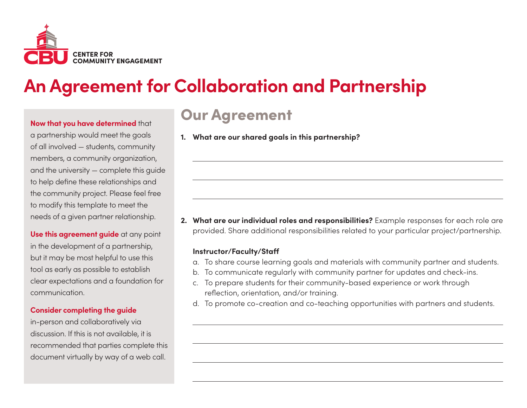

#### **Now that you have determined** that

a partnership would meet the goals of all involved — students, community members, a community organization, and the university — complete this guide to help define these relationships and the community project. Please feel free to modify this template to meet the needs of a given partner relationship.

**Use this agreement guide** at any point in the development of a partnership, but it may be most helpful to use this tool as early as possible to establish clear expectations and a foundation for communication.

#### **Consider completing the guide**

in-person and collaboratively via discussion. If this is not available, it is recommended that parties complete this document virtually by way of a web call.

### Our Agreement

**1. What are our shared goals in this partnership?**

**2. What are our individual roles and responsibilities?** Example responses for each role are provided. Share additional responsibilities related to your particular project/partnership.

#### **Instructor/Faculty/Staff**

- a. To share course learning goals and materials with community partner and students.
- b. To communicate regularly with community partner for updates and check-ins.
- c. To prepare students for their community-based experience or work through reflection, orientation, and/or training.
- d. To promote co-creation and co-teaching opportunities with partners and students.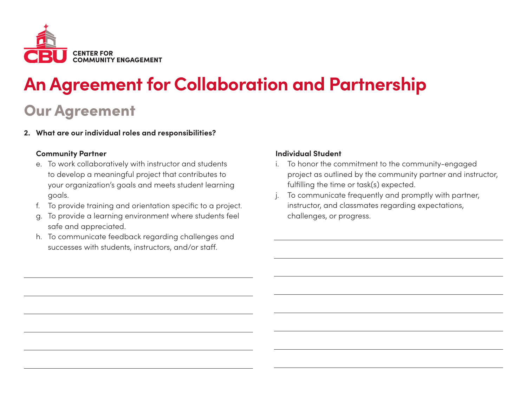

### Our Agreement

**2. What are our individual roles and responsibilities?**

#### **Community Partner**

- e. To work collaboratively with instructor and students to develop a meaningful project that contributes to your organization's goals and meets student learning goals.
- f. To provide training and orientation specific to a project.
- g. To provide a learning environment where students feel safe and appreciated.
- h. To communicate feedback regarding challenges and successes with students, instructors, and/or staff.

#### **Individual Student**

- i. To honor the commitment to the community-engaged project as outlined by the community partner and instructor, fulfilling the time or task(s) expected.
- To communicate frequently and promptly with partner, instructor, and classmates regarding expectations, challenges, or progress.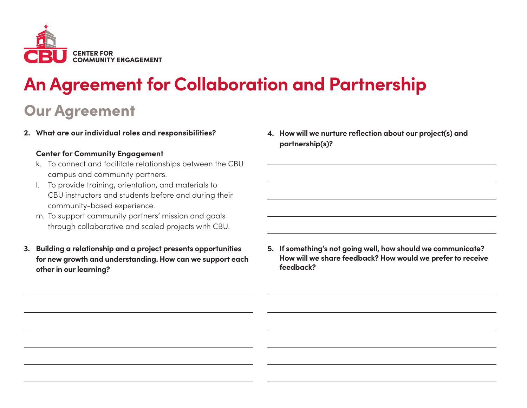

### Our Agreement

**2. What are our individual roles and responsibilities?**

#### **Center for Community Engagement**

- k. To connect and facilitate relationships between the CBU campus and community partners.
- l. To provide training, orientation, and materials to CBU instructors and students before and during their community-based experience.
- m. To support community partners' mission and goals through collaborative and scaled projects with CBU.
- **3. Building a relationship and a project presents opportunities for new growth and understanding. How can we support each other in our learning?**

**4. How will we nurture reflection about our project(s) and partnership(s)?**

**5. If something's not going well, how should we communicate? How will we share feedback? How would we prefer to receive feedback?**